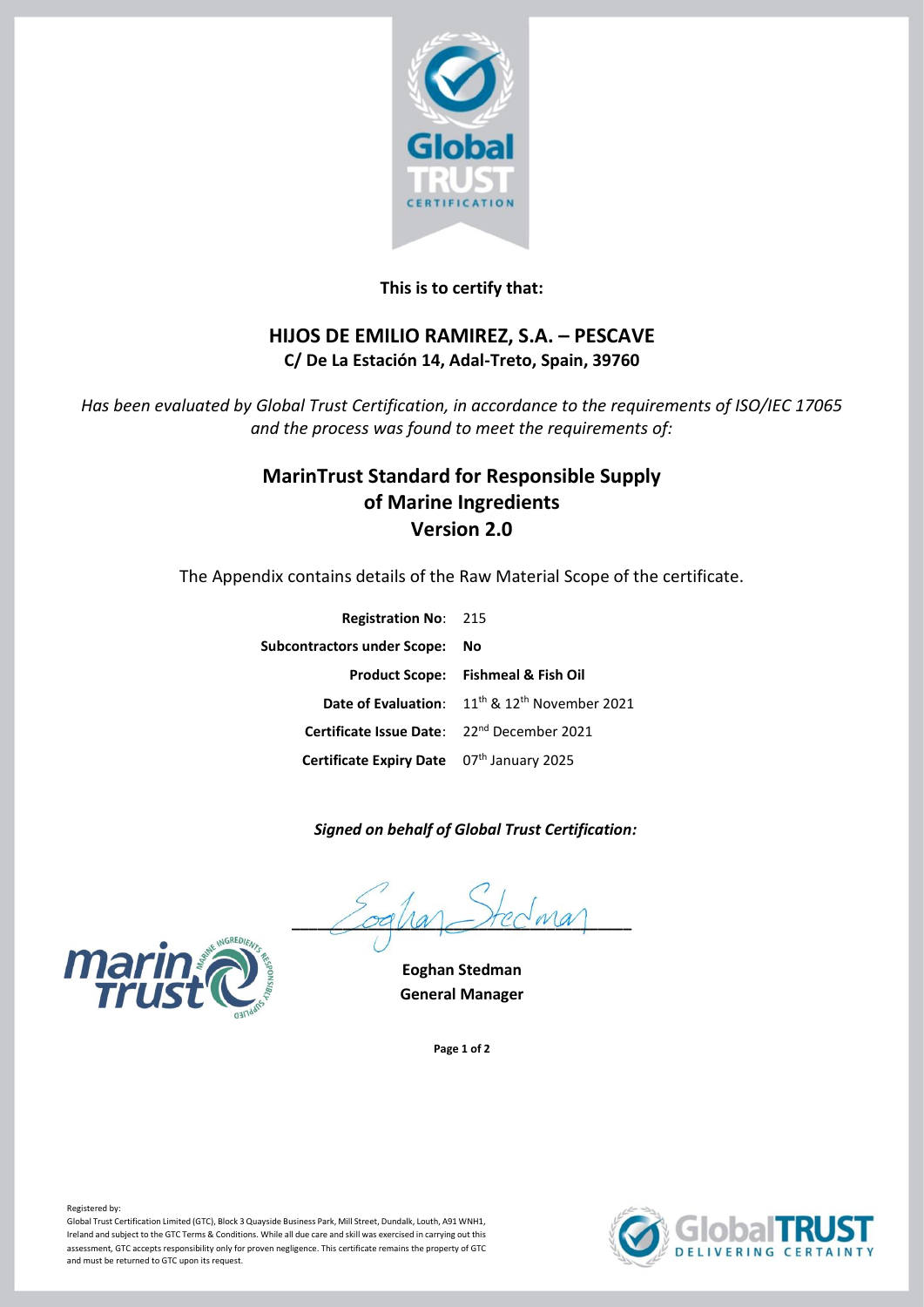

### **This is to certify that:**

## **HIJOS DE EMILIO RAMIREZ, S.A. – PESCAVE C/ De La Estación 14, Adal-Treto, Spain, 39760**

*Has been evaluated by Global Trust Certification, in accordance to the requirements of ISO/IEC 17065 and the process was found to meet the requirements of:*

# **MarinTrust Standard for Responsible Supply of Marine Ingredients Version 2.0**

The Appendix contains details of the Raw Material Scope of the certificate.

| <b>Registration No: 215</b>                            |                                                                       |
|--------------------------------------------------------|-----------------------------------------------------------------------|
| Subcontractors under Scope: No                         |                                                                       |
|                                                        | Product Scope: Fishmeal & Fish Oil                                    |
|                                                        | Date of Evaluation: 11 <sup>th</sup> & 12 <sup>th</sup> November 2021 |
| Certificate Issue Date: 22 <sup>nd</sup> December 2021 |                                                                       |
| Certificate Expiry Date 07th January 2025              |                                                                       |

### *Signed on behalf of Global Trust Certification:*

 $\angle$ oqua $\angle$ rec $w$ a

**Eoghan Stedman General Manager**

**Page 1 of 2**





### Registered by:

Global Trust Certification Limited (GTC), Block 3 Quayside Business Park, Mill Street, Dundalk, Louth, A91 WNH1, Ireland and subject to the GTC Terms & Conditions. While all due care and skill was exercised in carrying out this assessment, GTC accepts responsibility only for proven negligence. This certificate remains the property of GTC and must be returned to GTC upon its request.